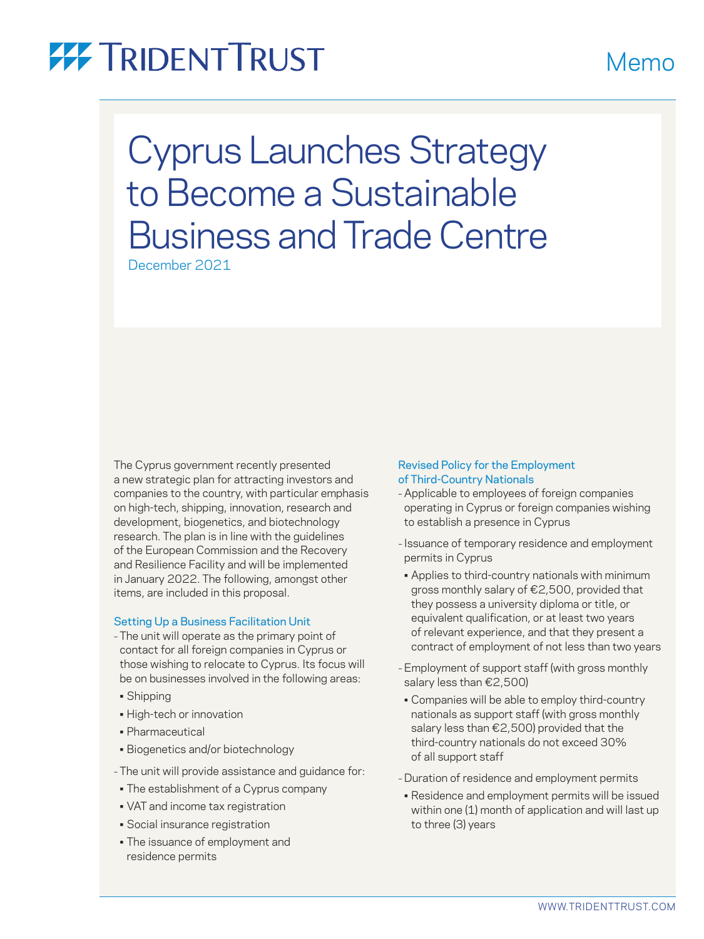## **77 TRIDENTTRUST**

Cyprus Launches Strategy to Become a Sustainable Business and Trade Centre

December 2021

The Cyprus government recently presented a new strategic plan for attracting investors and companies to the country, with particular emphasis on high-tech, shipping, innovation, research and development, biogenetics, and biotechnology research. The plan is in line with the guidelines of the European Commission and the Recovery and Resilience Facility and will be implemented in January 2022. The following, amongst other items, are included in this proposal.

#### Setting Up a Business Facilitation Unit

- The unit will operate as the primary point of contact for all foreign companies in Cyprus or those wishing to relocate to Cyprus. Its focus will be on businesses involved in the following areas:
- Shipping
- High-tech or innovation
- Pharmaceutical
- Biogenetics and/or biotechnology
- The unit will provide assistance and guidance for:
- The establishment of a Cyprus company
- VAT and income tax registration
- Social insurance registration
- The issuance of employment and residence permits

### Revised Policy for the Employment of Third-Country Nationals

- Applicable to employees of foreign companies operating in Cyprus or foreign companies wishing to establish a presence in Cyprus
- Issuance of temporary residence and employment permits in Cyprus
- Applies to third-country nationals with minimum gross monthly salary of €2,500, provided that they possess a university diploma or title, or equivalent qualification, or at least two years of relevant experience, and that they present a contract of employment of not less than two years
- –Employment of support staff (with gross monthly salary less than €2,500)
- Companies will be able to employ third-country nationals as support staff (with gross monthly salary less than €2,500) provided that the third-country nationals do not exceed 30% of all support staff
- Duration of residence and employment permits
- Residence and employment permits will be issued within one (1) month of application and will last up to three (3) years

## Memo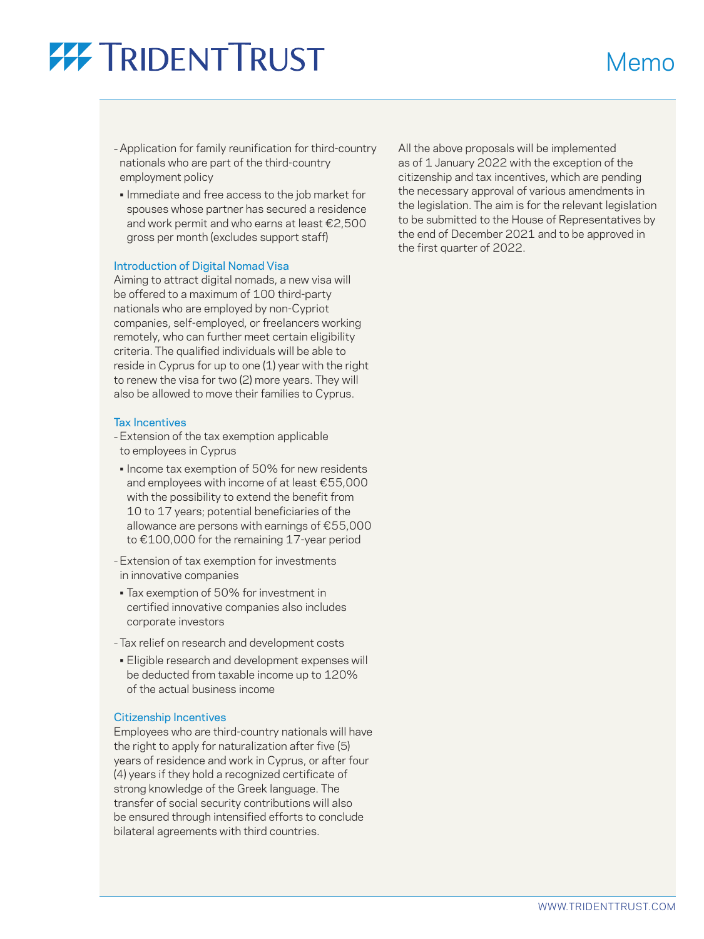# **77 TRIDENTTRUST**

– Application for family reunification for third-country nationals who are part of the third-country employment policy

• Immediate and free access to the job market for spouses whose partner has secured a residence and work permit and who earns at least €2,500 gross per month (excludes support staff)

#### Introduction of Digital Nomad Visa

Aiming to attract digital nomads, a new visa will be offered to a maximum of 100 third-party nationals who are employed by non-Cypriot companies, self-employed, or freelancers working remotely, who can further meet certain eligibility criteria. The qualified individuals will be able to reside in Cyprus for up to one (1) year with the right to renew the visa for two (2) more years. They will also be allowed to move their families to Cyprus.

#### Tax Incentives

- –Extension of the tax exemption applicable to employees in Cyprus
- Income tax exemption of 50% for new residents and employees with income of at least €55,000 with the possibility to extend the benefit from 10 to 17 years; potential beneficiaries of the allowance are persons with earnings of €55,000 to €100,000 for the remaining 17-year period
- –Extension of tax exemption for investments in innovative companies
- Tax exemption of 50% for investment in certified innovative companies also includes corporate investors
- Tax relief on research and development costs
- Eligible research and development expenses will be deducted from taxable income up to 120% of the actual business income

#### Citizenship Incentives

Employees who are third-country nationals will have the right to apply for naturalization after five (5) years of residence and work in Cyprus, or after four (4) years if they hold a recognized certificate of strong knowledge of the Greek language. The transfer of social security contributions will also be ensured through intensified efforts to conclude bilateral agreements with third countries.

All the above proposals will be implemented as of 1 January 2022 with the exception of the citizenship and tax incentives, which are pending the necessary approval of various amendments in the legislation. The aim is for the relevant legislation to be submitted to the House of Representatives by the end of December 2021 and to be approved in the first quarter of 2022.